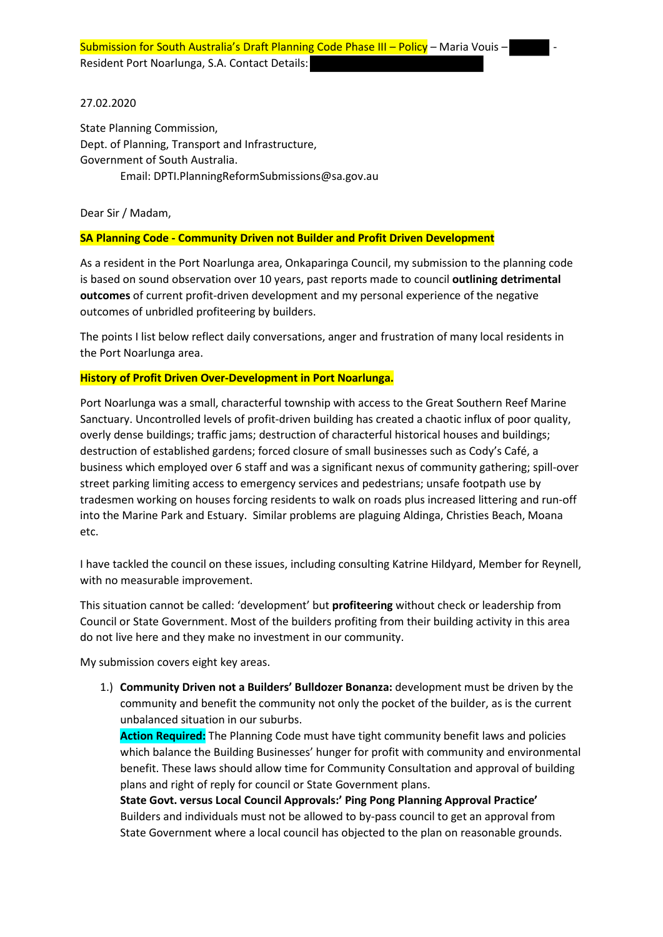27.02.2020

State Planning Commission, Dept. of Planning, Transport and Infrastructure, Government of South Australia. Email: DPTI.PlanningReformSubmissions@sa.gov.au

Dear Sir / Madam,

### **SA Planning Code - Community Driven not Builder and Profit Driven Development**

As a resident in the Port Noarlunga area, Onkaparinga Council, my submission to the planning code is based on sound observation over 10 years, past reports made to council **outlining detrimental outcomes** of current profit-driven development and my personal experience of the negative outcomes of unbridled profiteering by builders.

The points I list below reflect daily conversations, anger and frustration of many local residents in the Port Noarlunga area.

#### **History of Profit Driven Over-Development in Port Noarlunga.**

Port Noarlunga was a small, characterful township with access to the Great Southern Reef Marine Sanctuary. Uncontrolled levels of profit-driven building has created a chaotic influx of poor quality, overly dense buildings; traffic jams; destruction of characterful historical houses and buildings; destruction of established gardens; forced closure of small businesses such as Cody's Café, a business which employed over 6 staff and was a significant nexus of community gathering; spill-over street parking limiting access to emergency services and pedestrians; unsafe footpath use by tradesmen working on houses forcing residents to walk on roads plus increased littering and run-off into the Marine Park and Estuary. Similar problems are plaguing Aldinga, Christies Beach, Moana etc.

I have tackled the council on these issues, including consulting Katrine Hildyard, Member for Reynell, with no measurable improvement.

This situation cannot be called: 'development' but **profiteering** without check or leadership from Council or State Government. Most of the builders profiting from their building activity in this area do not live here and they make no investment in our community.

My submission covers eight key areas.

1.) **Community Driven not a Builders' Bulldozer Bonanza:** development must be driven by the community and benefit the community not only the pocket of the builder, as is the current unbalanced situation in our suburbs.

**Action Required:** The Planning Code must have tight community benefit laws and policies which balance the Building Businesses' hunger for profit with community and environmental benefit. These laws should allow time for Community Consultation and approval of building plans and right of reply for council or State Government plans.

**State Govt. versus Local Council Approvals:' Ping Pong Planning Approval Practice'**  Builders and individuals must not be allowed to by-pass council to get an approval from State Government where a local council has objected to the plan on reasonable grounds.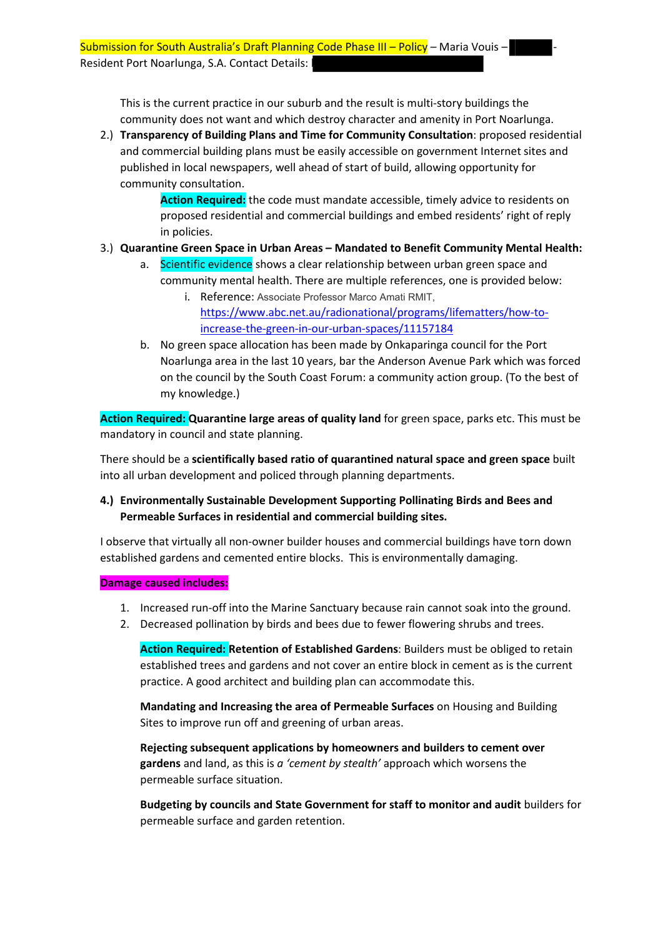This is the current practice in our suburb and the result is multi-story buildings the community does not want and which destroy character and amenity in Port Noarlunga.

2.) **Transparency of Building Plans and Time for Community Consultation**: proposed residential and commercial building plans must be easily accessible on government Internet sites and published in local newspapers, well ahead of start of build, allowing opportunity for community consultation.

> **Action Required:** the code must mandate accessible, timely advice to residents on proposed residential and commercial buildings and embed residents' right of reply in policies.

## 3.) **Quarantine Green Space in Urban Areas – Mandated to Benefit Community Mental Health:**

- a. Scientific evidence shows a clear relationship between urban green space and community mental health. There are multiple references, one is provided below:
	- i. Reference: Associate Professor Marco Amati RMIT, [https://www.abc.net.au/radionational/programs/lifematters/how-to](https://www.abc.net.au/radionational/programs/lifematters/how-to-increase-the-green-in-our-urban-spaces/11157184)[increase-the-green-in-our-urban-spaces/11157184](https://www.abc.net.au/radionational/programs/lifematters/how-to-increase-the-green-in-our-urban-spaces/11157184)
- b. No green space allocation has been made by Onkaparinga council for the Port Noarlunga area in the last 10 years, bar the Anderson Avenue Park which was forced on the council by the South Coast Forum: a community action group. (To the best of my knowledge.)

**Action Required: Quarantine large areas of quality land** for green space, parks etc. This must be mandatory in council and state planning.

There should be a **scientifically based ratio of quarantined natural space and green space** built into all urban development and policed through planning departments.

## **4.) Environmentally Sustainable Development Supporting Pollinating Birds and Bees and Permeable Surfaces in residential and commercial building sites.**

I observe that virtually all non-owner builder houses and commercial buildings have torn down established gardens and cemented entire blocks. This is environmentally damaging.

#### **Damage caused includes:**

- 1. Increased run-off into the Marine Sanctuary because rain cannot soak into the ground.
- 2. Decreased pollination by birds and bees due to fewer flowering shrubs and trees.

**Action Required: Retention of Established Gardens**: Builders must be obliged to retain established trees and gardens and not cover an entire block in cement as is the current practice. A good architect and building plan can accommodate this.

**Mandating and Increasing the area of Permeable Surfaces** on Housing and Building Sites to improve run off and greening of urban areas.

**Rejecting subsequent applications by homeowners and builders to cement over gardens** and land, as this is *a 'cement by stealth'* approach which worsens the permeable surface situation.

**Budgeting by councils and State Government for staff to monitor and audit** builders for permeable surface and garden retention.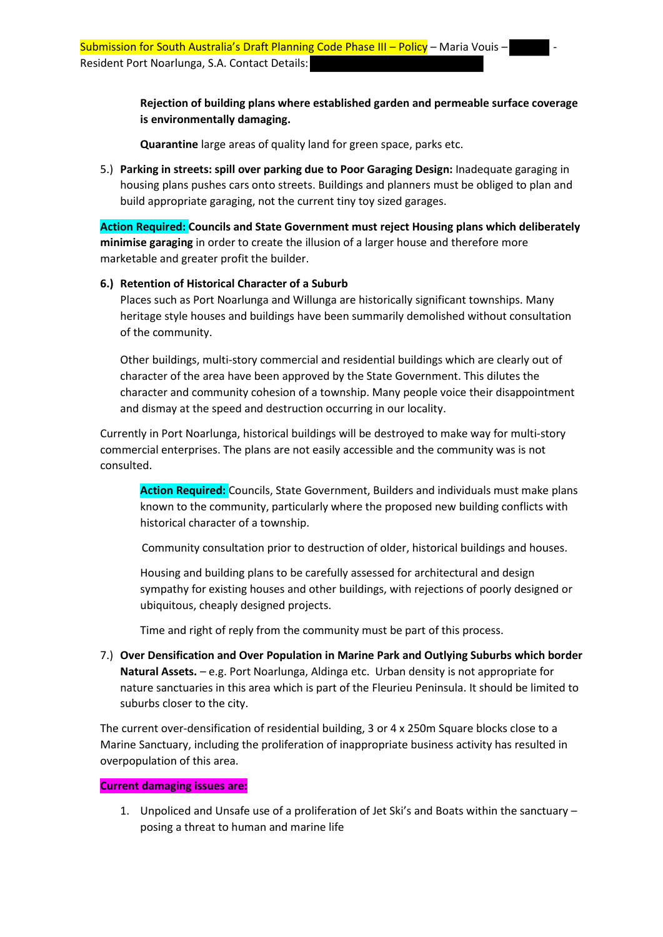**Rejection of building plans where established garden and permeable surface coverage is environmentally damaging.**

**Quarantine** large areas of quality land for green space, parks etc.

5.) **Parking in streets: spill over parking due to Poor Garaging Design:** Inadequate garaging in housing plans pushes cars onto streets. Buildings and planners must be obliged to plan and build appropriate garaging, not the current tiny toy sized garages.

**Action Required: Councils and State Government must reject Housing plans which deliberately minimise garaging** in order to create the illusion of a larger house and therefore more marketable and greater profit the builder.

## **6.) Retention of Historical Character of a Suburb**

Places such as Port Noarlunga and Willunga are historically significant townships. Many heritage style houses and buildings have been summarily demolished without consultation of the community.

Other buildings, multi-story commercial and residential buildings which are clearly out of character of the area have been approved by the State Government. This dilutes the character and community cohesion of a township. Many people voice their disappointment and dismay at the speed and destruction occurring in our locality.

Currently in Port Noarlunga, historical buildings will be destroyed to make way for multi-story commercial enterprises. The plans are not easily accessible and the community was is not consulted.

**Action Required:** Councils, State Government, Builders and individuals must make plans known to the community, particularly where the proposed new building conflicts with historical character of a township.

Community consultation prior to destruction of older, historical buildings and houses.

Housing and building plans to be carefully assessed for architectural and design sympathy for existing houses and other buildings, with rejections of poorly designed or ubiquitous, cheaply designed projects.

Time and right of reply from the community must be part of this process.

7.) **Over Densification and Over Population in Marine Park and Outlying Suburbs which border Natural Assets.** – e.g. Port Noarlunga, Aldinga etc. Urban density is not appropriate for nature sanctuaries in this area which is part of the Fleurieu Peninsula. It should be limited to suburbs closer to the city.

The current over-densification of residential building, 3 or 4 x 250m Square blocks close to a Marine Sanctuary, including the proliferation of inappropriate business activity has resulted in overpopulation of this area.

#### **Current damaging issues are:**

1. Unpoliced and Unsafe use of a proliferation of Jet Ski's and Boats within the sanctuary – posing a threat to human and marine life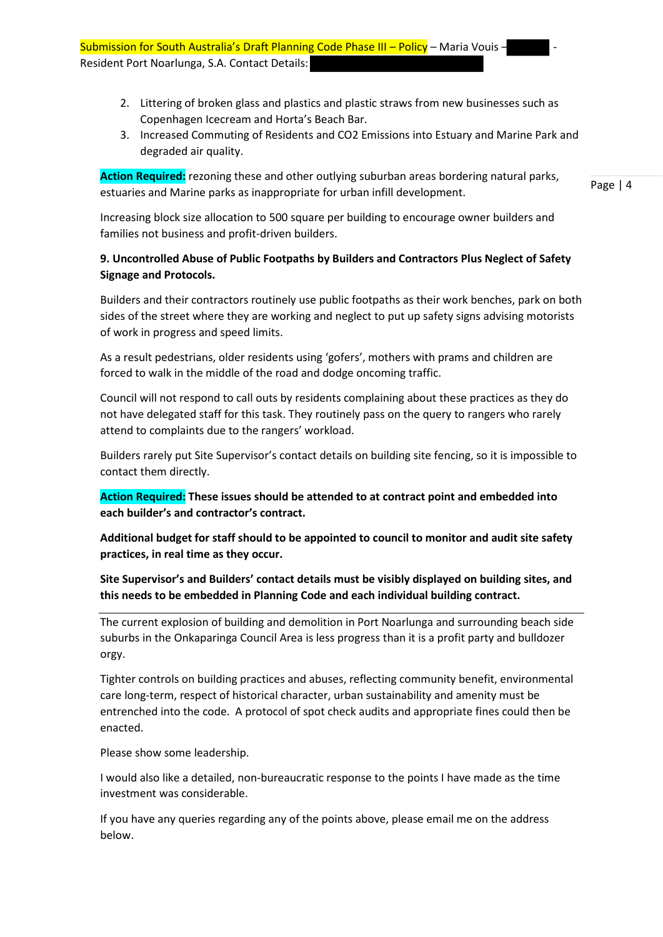- 2. Littering of broken glass and plastics and plastic straws from new businesses such as Copenhagen Icecream and Horta's Beach Bar.
- 3. Increased Commuting of Residents and CO2 Emissions into Estuary and Marine Park and degraded air quality.

**Action Required:** rezoning these and other outlying suburban areas bordering natural parks, estuaries and Marine parks as inappropriate for urban infill development.

Page | 4

Increasing block size allocation to 500 square per building to encourage owner builders and families not business and profit-driven builders.

# **9. Uncontrolled Abuse of Public Footpaths by Builders and Contractors Plus Neglect of Safety Signage and Protocols.**

Builders and their contractors routinely use public footpaths as their work benches, park on both sides of the street where they are working and neglect to put up safety signs advising motorists of work in progress and speed limits.

As a result pedestrians, older residents using 'gofers', mothers with prams and children are forced to walk in the middle of the road and dodge oncoming traffic.

Council will not respond to call outs by residents complaining about these practices as they do not have delegated staff for this task. They routinely pass on the query to rangers who rarely attend to complaints due to the rangers' workload.

Builders rarely put Site Supervisor's contact details on building site fencing, so it is impossible to contact them directly.

**Action Required: These issues should be attended to at contract point and embedded into each builder's and contractor's contract.**

**Additional budget for staff should to be appointed to council to monitor and audit site safety practices, in real time as they occur.**

**Site Supervisor's and Builders' contact details must be visibly displayed on building sites, and this needs to be embedded in Planning Code and each individual building contract.**

The current explosion of building and demolition in Port Noarlunga and surrounding beach side suburbs in the Onkaparinga Council Area is less progress than it is a profit party and bulldozer orgy.

Tighter controls on building practices and abuses, reflecting community benefit, environmental care long-term, respect of historical character, urban sustainability and amenity must be entrenched into the code. A protocol of spot check audits and appropriate fines could then be enacted.

Please show some leadership.

I would also like a detailed, non-bureaucratic response to the points I have made as the time investment was considerable.

If you have any queries regarding any of the points above, please email me on the address below.